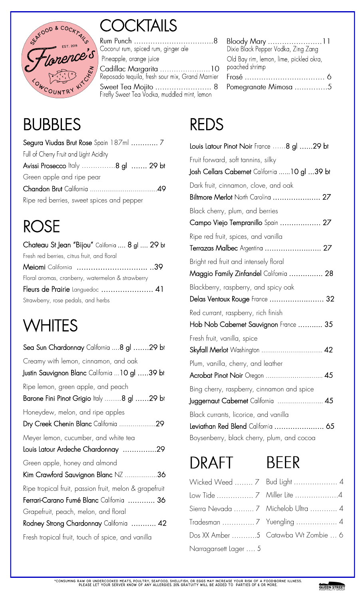

## **COCKTAILS**

Pineapple, orange juice Cadillac Margarita ........................10<br>Reposado tequila, fresh sour mix, Grand Marnier Sweet Tea Mojito ............................. 8<br>Firefly Sweet Tea Vodka, muddled mint, lemon

# BUBBLES

| Full of Cherry Fruit and Light Acidity    |  |
|-------------------------------------------|--|
| Avissi Prosecco Italy 8 gl  29 bt         |  |
| Green apple and ripe pear                 |  |
|                                           |  |
| Ripe red berries, sweet spices and pepper |  |

## ROSE

| Chateau St Jean "Bijou" California  8 gl  29 bt   |
|---------------------------------------------------|
| Fresh red berries, citrus fruit, and floral       |
| Meiomi California 39                              |
| Floral aromas, cranberry, watermelon & strawberry |
| Fleurs de Prairie Languedoc  41                   |
| Strawberry, rose pedals, and herbs                |

## **WHITES**

| Sea Sun Chardonnay California 8 gl 29 bt                                                           |
|----------------------------------------------------------------------------------------------------|
| Creamy with lemon, cinnamon, and oak<br>Justin Sauvignon Blanc California 10 gl 39 bt              |
| Ripe lemon, green apple, and peach<br>Barone Fini Pinot Grigio Italy 8 gl 29 bt                    |
| Honeydew, melon, and ripe apples<br>Dry Creek Chenin Blanc California 29                           |
| Meyer lemon, cucumber, and white tea<br>Louis Latour Ardeche Chardonnay 29                         |
| Green apple, honey and almond<br>Kim Crawford Sauvignon Blanc NZ 36                                |
| Ripe tropical fruit, passion fruit, melon & grapefruit<br>Ferrari-Carano Fumé Blanc California  36 |
| Grapefruit, peach, melon, and floral<br>Rodney Strong Chardonnay California  42                    |
| Fresh tropical fruit, touch of spice, and vanilla                                                  |

| Bloody Mary                             |
|-----------------------------------------|
| Dixie Black Pepper Vodka, Zing Zang     |
| Old Bay rim, lemon, lime, pickled okra, |
| poached shrimp                          |
| Frosé ……………………………… 6                    |
| Pomegranate Mimosa 5                    |
|                                         |

### REDS

| Louis Latour Pinot Noir France 8 gl 29 bt     |
|-----------------------------------------------|
| Fruit forward, soft tannins, silky            |
| Josh Cellars Cabernet California  10 gl 39 bt |
| Dark fruit, cinnamon, clove, and oak          |
| Biltmore Merlot North Carolina  27            |
| Black cherry, plum, and berries               |
| Campo Viejo Tempranillo Spain  27             |
| Ripe red fruit, spices, and vanilla           |
| Terrazas Malbec Argentina  27                 |
| Bright red fruit and intensely floral         |
| Maggio Family Zinfandel California  28        |
| Blackberry, raspberry, and spicy oak          |
| Delas Ventoux Rouge France  32                |
| Red currant, raspberry, rich finish           |
| Hob Nob Cabernet Sauvignon France  35         |
| Fresh fruit, vanilla, spice                   |
| Skyfall Merlot Washington  42                 |
| Plum, vanilla, cherry, and leather            |
| Acrobat Pinot Noir Oregon  45                 |
| Bing cherry, raspberry, cinnamon and spice    |
| Juggernaut Cabernet California  45            |
| Black currants, licorice, and vanilla         |
| Leviathan Red Blend California  65            |
| Boysenberry, black cherry, plum, and cocoa    |

## **DRAFT**



|                       | Wicked Weed  7 Bud Light  4         |
|-----------------------|-------------------------------------|
|                       |                                     |
|                       | Sierra Nevada  7 Michelob Ultra  4  |
|                       |                                     |
|                       | Dos XX Amber 5 Catawba Wt Zombie  6 |
| Narragansett Lager  5 |                                     |

#### QUEEN STREET